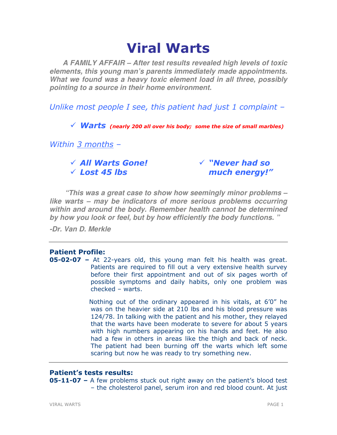# Viral Warts

**A FAMILY AFFAIR – After test results revealed high levels of toxic elements, this young man's parents immediately made appointments. What we found was a heavy toxic element load in all three, possibly pointing to a source in their home environment.** 

Unlike most people I see, this patient had just 1 complaint –

 $\checkmark$  Warts (nearly 200 all over his body; some the size of small marbles)

Within 3 months -

 All Warts Gone!  $\checkmark$  Lost 45 lbs

 "Never had so much energy!"

**"This was a great case to show how seemingly minor problems – like warts – may be indicators of more serious problems occurring within and around the body. Remember health cannot be determined by how you look or feel, but by how efficiently the body functions. "** 

**-Dr. Van D. Merkle** 

# Patient Profile:

**05-02-07 -** At 22-years old, this young man felt his health was great. Patients are required to fill out a very extensive health survey before their first appointment and out of six pages worth of possible symptoms and daily habits, only one problem was checked – warts.

> Nothing out of the ordinary appeared in his vitals, at 6'0" he was on the heavier side at 210 lbs and his blood pressure was 124/78. In talking with the patient and his mother, they relayed that the warts have been moderate to severe for about 5 years with high numbers appearing on his hands and feet. He also had a few in others in areas like the thigh and back of neck. The patient had been burning off the warts which left some scaring but now he was ready to try something new.

# Patient's tests results:

**05-11-07** – A few problems stuck out right away on the patient's blood test – the cholesterol panel, serum iron and red blood count. At just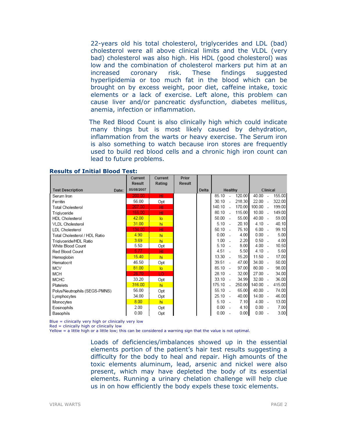22-years old his total cholesterol, triglycerides and LDL (bad) cholesterol were all above clinical limits and the VLDL (very bad) cholesterol was also high. His HDL (good cholesterol) was low and the combination of cholesterol markers put him at an increased coronary risk. These findings suggested hyperlipidemia or too much fat in the blood which can be brought on by excess weight, poor diet, caffeine intake, toxic elements or a lack of exercise. Left alone, this problem can cause liver and/or pancreatic dysfunction, diabetes mellitus, anemia, infection or inflammation.

The Red Blood Count is also clinically high which could indicate many things but is most likely caused by dehydration, inflammation from the warts or heavy exercise. The Serum iron is also something to watch because iron stores are frequently used to build red blood cells and a chronic high iron count can lead to future problems.

|                                  | Current<br>Result | Current<br>Rating | Prior<br>Result |       |           |                          |        |           |                          |        |
|----------------------------------|-------------------|-------------------|-----------------|-------|-----------|--------------------------|--------|-----------|--------------------------|--------|
| <b>Test Description</b><br>Date: | 05/08/2007        |                   |                 | Delta |           | Healthy                  |        |           | Clinical                 |        |
| Serum Iron                       | 200.00            | HI.               |                 |       | 85.10     |                          | 120.00 | 40.00     |                          | 155.00 |
| Ferritin                         | 56.00             | Opt               |                 |       | 30 10     | $\overline{a}$           | 218.30 | 22.00     |                          | 322.00 |
| Total Cholesterol                | 207.00            | HI                |                 |       | 140.10    | $\sim$                   | 170.00 | 100.00    | $\sim$                   | 199.00 |
| Triglyceride                     | 155.00            | HI                |                 |       | 80.10     | $\sim$                   | 115.00 | 10.00     | i.                       | 149.00 |
| <b>HDL</b> Cholesterol           | 42.00             | lo                |                 |       | 50.00     | $\sim$                   | 55.00  | 40.00     | $\sim$                   | 59.00  |
| <b>VLDL Cholesterol</b>          | 31.00             | hi                |                 |       | 5.10      | $\sim$                   | 20.10  | 4.10      | $\sim$                   | 40.10  |
| <b>LDL</b> Cholesterol           | 134.00            | HI                |                 |       | 50.10     | $\sim$                   | 75.10  | 6.00      | $\sim$                   | 99.10  |
| Total Cholesterol / HDL Ratio    | 4.90              | hi                |                 |       | 0.00      |                          | 4.00   | 0.00      | ÷.                       | 5.00   |
| Triglyceride/HDL Ratio           | 3.69              | hi                |                 |       | 1.00      | $\overline{a}$           | 2.20   | 0.50      | ÷.                       | 4.00   |
| White Blood Count                | 5.50              | Opt               |                 |       | $5.10 -$  |                          | 8.00   | $4.00 -$  |                          | 10.50  |
| Red Blood Count                  | 5.77              | HI                |                 |       | 4.51      |                          | 5.50   | $4.10 -$  |                          | 5.60   |
| Hemoglobin                       | 15.40             | hi                |                 |       | 13.30     | $\overline{\phantom{a}}$ | 15.20  | $11.50 -$ |                          | 17.00  |
| Hematocrit                       | 46.50             | Opt               |                 |       | 39.51     | $\sim$                   | 47.00  | 34.00     | $\sim$                   | 50.00  |
| MCV                              | 81.00             | $\overline{a}$    |                 |       | $85.10 -$ |                          | 97.00  | $80.00 -$ |                          | 98.00  |
| <b>MCH</b>                       | 26.70             | LO.               |                 |       | 28.10     | $\sim$                   | 32.00  | 27.00     | ÷.                       | 34.00  |
| <b>MCHC</b>                      | 33.20             | Opt               |                 |       | 33.10     | $\sim$                   | 34.99  | $32.00 -$ |                          | 36.00  |
| Platelets                        | 316.00            | hi                |                 |       | 175.10    | $\overline{a}$           | 250.00 | 140.00    | $\sim$                   | 415.00 |
| Polys/Neutrophils (SEGS-PMNS)    | 56.00             | Opt               |                 |       | 55.10     | $\sim$                   | 65.00  | 40.00     | ÷.                       | 74.00  |
| Lymphocytes                      | 34.00             | Opt               |                 |       | 25.10     | $\overline{\phantom{a}}$ | 40.00  | 14.00     | $\sim$                   | 46.00  |
| Monocytes                        | 8.00              | hi                |                 |       | 5.10      | $\overline{\phantom{a}}$ | 7.10   | 4.00      | $\sim$                   | 13.00  |
| Eosinophils                      | 2.00              | Opt               |                 |       | 0.00      | $\sim$                   | 4.10   | 0.00      | $\sim$                   | 7.00   |
| Basophils                        | 0.00              | Opt               |                 |       | 0.00      | $\overline{\phantom{a}}$ | 0.00   | 0.00      | $\overline{\phantom{a}}$ | 3.00   |

#### Results of Initial Blood Test:

Blue = clinically very high or clinically very low

Red = clinically high or clinically low

Yellow = a little high or a little low; this can be considered a warning sign that the value is not optimal.

Loads of deficiencies/imbalances showed up in the essential elements portion of the patient's hair test results suggesting a difficulty for the body to heal and repair. High amounts of the toxic elements aluminum, lead, arsenic and nickel were also present, which may have depleted the body of its essential elements. Running a urinary chelation challenge will help clue us in on how efficiently the body expels these toxic elements.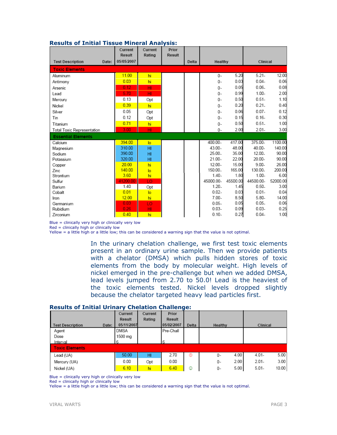|                                   | Current<br>Result | Current<br>Rating | Prior<br><b>Result</b> |       |           |          |           |          |
|-----------------------------------|-------------------|-------------------|------------------------|-------|-----------|----------|-----------|----------|
| <b>Test Description</b><br>Date:  | 05/05/2007        |                   |                        | Delta | Healthy   |          | Clinical  |          |
| <b>Toxic Elements</b>             |                   |                   |                        |       |           |          |           |          |
| Aluminum                          | 11.00             | hi                |                        |       | 0-        | 5.20     | $5.21 -$  | 12.00    |
| Antimony                          | 0.03              | hi                |                        |       | 0-        | 0.03     | $0.04 -$  | 0.06     |
| Arsenic                           | 0.12              | HI                |                        |       | 0-        | 0.05     | $0.06 -$  | 0.08     |
| Lead                              | 5.70              | HI                |                        |       | 0-        | 0.99     | $1.00 -$  | 2.00     |
| Mercury                           | 0.13              | Opt               |                        |       | 0-        | 0.50     | $0.51 -$  | 1.10     |
| Nickel                            | 0.39              | hi                |                        |       | 0-        | 0.20     | $0.21 -$  | 0.40     |
| Silver                            | 0.05              | Opt               |                        |       | 0-        | 0.06     | $0.07 -$  | 0.12     |
| Tin                               | 0.12              | Opt               |                        |       | 0-        | 0.15     | $0.16 -$  | 0.30     |
| Titanium                          | 0.71              | hi                |                        |       | $0 -$     | 0.50     | $0.51 -$  | 1.00     |
| <b>Total Toxic Representation</b> | 3.00              | HI                |                        |       | $0 -$     | 2.00     | $2.01 -$  | 3.00     |
| <b>Essential Elements</b>         |                   |                   |                        |       |           |          |           |          |
| Calcium                           | 394.00            | $\overline{a}$    |                        |       | 400.00-   | 417.00   | 375.00-   | 1100.00  |
| Magnesium                         | 310.00            | HI                |                        |       | 43.00-    | 48.00    | 40.00-    | 140.00   |
| Sodium                            | 390.00            | HI                |                        |       | 25.00.    | 35.00    | 12.00-    | 90.00    |
| Potassium                         | 320.00            | HI                |                        |       | $21.00 -$ | 22.00    | 20.00-    | 90.00    |
| Copper                            | 20.00             | hi                |                        |       | $12.00 -$ | 15.00    | $9.00 -$  | 26.00    |
| Zinc                              | 140.00            | lo                |                        |       | 150.00.   | 165.00   | 130.00.   | 200.00   |
| Strontium                         | 3.60              | hi                |                        |       | $1.40 -$  | 1.80     | $1.00 -$  | 6.00     |
| Sulfur                            | 41200.00          | LO                |                        |       | 45000.00- | 45500.00 | 44500.00- | 52000.00 |
| Barium                            | 1.40              | Opt               |                        |       | $1.20 -$  | 1.45     | $0.50 -$  | 3.00     |
| Cobalt                            | 0.01              | $\overline{a}$    |                        |       | $0.02 -$  | 0.03     | $0.01 -$  | 0.04     |
| Iron                              | 12.00             | hi                |                        |       | $7.00 -$  | 8.50     | $5.80 -$  | 14.00    |
| Germanium                         | 0.03              | LO                |                        |       | $0.05 -$  | 0.05     | $0.05 -$  | 0.06     |
| Rubidium                          | 0.26              | HI                |                        |       | $0.03 -$  | 0.09     | $0.03 -$  | 0.25     |
| Zirconium                         | 0.40              | hi                |                        |       | $0.10 -$  | 0.27     | $0.04 -$  | 1.00     |

## Results of Initial Tissue Mineral Analysis:

Blue = clinically very high or clinically very low

Red = clinically high or clinically low

Yellow = a little high or a little low; this can be considered a warning sign that the value is not optimal.

In the urinary chelation challenge, we first test toxic elements present in an ordinary urine sample. Then we provide patients with a chelator (DMSA) which pulls hidden stores of toxic elements from the body by molecular weight. High levels of nickel emerged in the pre-challenge but when we added DMSA, lead levels jumped from 2.70 to 50.0! Lead is the heaviest of the toxic elements tested. Nickel levels dropped slightly because the chelator targeted heavy lead particles first.

#### Results of Initial Urinary Chelation Challenge:

|                                  | Current     | Current | Prior         |       |            |                   |
|----------------------------------|-------------|---------|---------------|-------|------------|-------------------|
|                                  | Result      | Rating  | <b>Result</b> |       |            |                   |
| <b>Test Description</b><br>Date: | 05/11/2007  |         | 05/02/2007    | Delta | Healthy    | Clinical          |
| Agent                            | <b>DMSA</b> |         | Pre-Chall     |       |            |                   |
| Dose                             | 1500 mg     |         |               |       |            |                   |
| Interval                         | 6           |         | 6             |       |            |                   |
| <b>Toxic Elements</b>            |             |         |               |       |            |                   |
| Lead (UA)                        | 50.00       | HI      | 2.70          | ⊛     | 4.00<br>0- | 5.00<br>$4.01 -$  |
| Mercury (UA)                     | 0.00        | Opt     | 0.00          |       | 2.00<br>0- | 3.00<br>$2.01 -$  |
| Nickel (UA)                      | 6.10        | hi      | 6.40          | ☺     | 5.00<br>0- | $5.01 -$<br>10.00 |

Blue = clinically very high or clinically very low

 $Red = clinically high or clinically low$ 

Yellow = a little high or a little low; this can be considered a warning sign that the value is not optimal.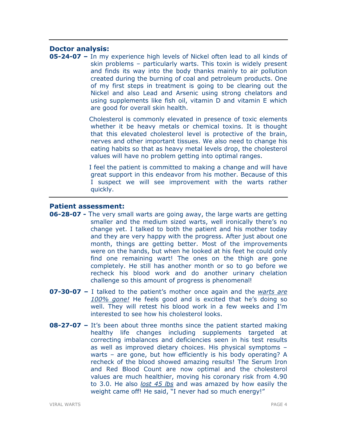## Doctor analysis:

05-24-07 – In my experience high levels of Nickel often lead to all kinds of skin problems – particularly warts. This toxin is widely present and finds its way into the body thanks mainly to air pollution created during the burning of coal and petroleum products. One of my first steps in treatment is going to be clearing out the Nickel and also Lead and Arsenic using strong chelators and using supplements like fish oil, vitamin D and vitamin E which are good for overall skin health.

> Cholesterol is commonly elevated in presence of toxic elements whether it be heavy metals or chemical toxins. It is thought that this elevated cholesterol level is protective of the brain, nerves and other important tissues. We also need to change his eating habits so that as heavy metal levels drop, the cholesterol values will have no problem getting into optimal ranges.

> I feel the patient is committed to making a change and will have great support in this endeavor from his mother. Because of this I suspect we will see improvement with the warts rather quickly.

## Patient assessment:

- **06-28-07 -** The very small warts are going away, the large warts are getting smaller and the medium sized warts, well ironically there's no change yet. I talked to both the patient and his mother today and they are very happy with the progress. After just about one month, things are getting better. Most of the improvements were on the hands, but when he looked at his feet he could only find one remaining wart! The ones on the thigh are gone completely. He still has another month or so to go before we recheck his blood work and do another urinary chelation challenge so this amount of progress is phenomenal!
- **07-30-07 –** I talked to the patient's mother once again and the warts are 100% gone! He feels good and is excited that he's doing so well. They will retest his blood work in a few weeks and I'm interested to see how his cholesterol looks.
- **08-27-07 –** It's been about three months since the patient started making healthy life changes including supplements targeted at correcting imbalances and deficiencies seen in his test results as well as improved dietary choices. His physical symptoms – warts – are gone, but how efficiently is his body operating? A recheck of the blood showed amazing results! The Serum Iron and Red Blood Count are now optimal and the cholesterol values are much healthier, moving his coronary risk from 4.90 to 3.0. He also lost 45 lbs and was amazed by how easily the weight came off! He said, "I never had so much energy!"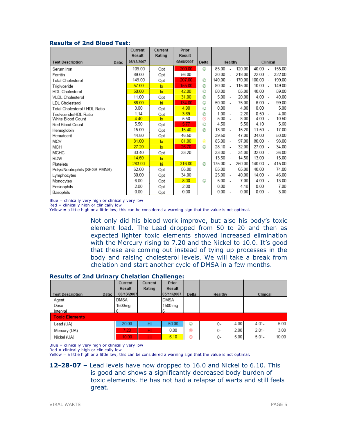## Results of 2nd Blood Test:

|                                  | Current<br><b>Result</b> | Current<br>Rating | Prior<br>Result |       |           |                          |        |           |                          |        |
|----------------------------------|--------------------------|-------------------|-----------------|-------|-----------|--------------------------|--------|-----------|--------------------------|--------|
| <b>Test Description</b><br>Date: | 08/13/2007               |                   | 05/08/2007      | Delta |           | Healthy                  |        |           | Clinical                 |        |
| Serum Iron                       | 109.00                   | Opt               | 200.00          | O     | 85.00     |                          | 120.00 | 40.00     | ÷.                       | 155.00 |
| Ferritin                         | 89.00                    | Opt               | 56.00           |       | 30.00     | $\overline{a}$           | 218.00 | 22.00     | $\sim$                   | 322.00 |
| <b>Total Cholesterol</b>         | 149.00                   | Opt               | 207.00          | ☺     | 140.00    | $\overline{a}$           | 170.00 | 100.00    |                          | 199.00 |
| Triglyceride                     | 57.00                    | lo                | 155.00          | ☺     | 80.00     | $\overline{a}$           | 115.00 | 10.00     | $\sim$                   | 149.00 |
| <b>HDL</b> Cholesterol           | 50.00                    | lo                | 42.00           | ☺     | 50.00     | $\sim$                   | 55.00  | 40.00     | $\sim$                   | 59.00  |
| <b>VLDL Cholesterol</b>          | 11.00                    | Opt               | 31.00           | ☺     | $5.00 -$  |                          | 20.00  | $4.00 -$  |                          | 40.00  |
| <b>LDL</b> Cholesterol           | 88.00                    | hi                | 134.00          | ☺     | 50.00     | $\overline{\phantom{a}}$ | 75.00  | 6.00      | $\sim$                   | 99.00  |
| Total Cholesterol / HDL Ratio    | 3.00                     | Opt               | 4.90            | ٥     | 0.00      | $\sim$                   | 4.00   | 0.00      | ۰.                       | 5.00   |
| Triglyceride/HDL Ratio           | 1.14                     | Opt               | 3.69            | ☺     | 1.00      |                          | 2.20   | 0.50      |                          | 4.00   |
| White Blood Count                | 4.40                     | $\overline{a}$    | 5.50            | ⊛     | $5.00 -$  |                          | 8.00   | $4.00 -$  |                          | 10.50  |
| Red Blood Count                  | 5.50                     | Opt               | 5.77            | ☺     | 4.50      | ÷.                       | 5.50   | $4.10 -$  |                          | 5.60   |
| Hemoglobin                       | 15.00                    | Opt               | 15.40           | ☺     | 13.30     | $\overline{\phantom{a}}$ | 15.20  | 11.50     | $\sim$                   | 17.00  |
| Hematocrit                       | 44.80                    | Opt               | 46.50           |       | 39.50     | $\overline{\phantom{a}}$ | 47.00  | 34.00     | $\overline{\phantom{a}}$ | 50.00  |
| MCV                              | 81.00                    | lo                | 81.00           | ⊜     | 85.00     | $\sim$                   | 97.00  | 80.00     | $\sim$                   | 98.00  |
| <b>MCH</b>                       | 27.20                    | $\overline{a}$    | 26.70           | ٨     | 28.10     | $\overline{\phantom{a}}$ | 32.00  | 27.00     | $\sim$                   | 34.00  |
| <b>MCHC</b>                      | 33.40                    | Opt               | 33.20           |       | $33.00 -$ |                          | 34.00  | $32.00 -$ |                          | 36.00  |
| <b>RDW</b>                       | 14.60                    | hi                |                 |       | 13.50     | ÷.                       | 14.50  | 13.00     | ÷.                       | 15.00  |
| Platelets                        | 283.00                   | hi                | 316.00          | ٨     | 175.00    | $\overline{\phantom{a}}$ | 250.00 | 140.00    | $\sim$                   | 415.00 |
| Polys/Neutrophils (SEGS-PMNS)    | 62.00                    | Opt               | 56.00           |       | 55.00     | $\overline{\phantom{a}}$ | 65.00  | 40.00     | $\sim$                   | 74.00  |
| Lymphocytes                      | 30.00                    | Opt               | 34.00           |       | 25.00     | $\overline{\phantom{a}}$ | 40.00  | 14.00     | $\sim$                   | 46.00  |
| Monocytes                        | 6.00                     | Opt               | 8.00            | ☺     | 5.00      | $\sim$                   | 7.00   | 4.00      | $\sim$                   | 13.00  |
| Eosinophils                      | 2.00                     | Opt               | 2.00            |       | 0.00      | $\overline{\phantom{a}}$ | 4.10   | 0.00      | - 1                      | 7.00   |
| Basophils                        | 0.00                     | Opt               | 0.00            |       | 0.00      |                          | 0.00   | 0.00      |                          | 3.00   |

Blue = clinically very high or clinically very low

Red = clinically high or clinically low

Yellow = a little high or a little low; this can be considered a warning sign that the value is not optimal.

Not only did his blood work improve, but also his body's toxic element load. The Lead dropped from 50 to 20 and then as expected lighter toxic elements showed increased elimination with the Mercury rising to 7.20 and the Nickel to 10.0. It's good that these are coming out instead of tying up processes in the body and raising cholesterol levels. We will take a break from chelation and start another cycle of DMSA in a few months.

## Results of 2nd Urinary Chelation Challenge:

|                                  | Current    | Current | Prior         |       |            |                   |
|----------------------------------|------------|---------|---------------|-------|------------|-------------------|
|                                  | Result     | Rating  | <b>Result</b> |       |            |                   |
| <b>Test Description</b><br>Date: | 08/13/2007 |         | 05/11/2007    | Delta | Healthy    | Clinical          |
| Agent                            | DMSA       |         | <b>DMSA</b>   |       |            |                   |
| Dose                             | 1500mg     |         | 1500 mg       |       |            |                   |
| Interval                         | 6          |         |               |       |            |                   |
| <b>Toxic Elements</b>            |            |         |               |       |            |                   |
| Lead (UA)                        | 20.00      | HI      | 50.00         | ☺     | 4.00<br>0- | 5.00<br>$4.01 -$  |
| Mercury (UA)                     | 7.20       | HI      | 0.00          | ⊛     | 2.00<br>0- | 3.00<br>$2.01 -$  |
| Nickel (UA)                      | 10.00      | HI      | 6.10          | ⊛     | 5.00<br>0- | $5.01 -$<br>10.00 |

Blue = clinically very high or clinically very low

 $Red = clinically high or clinically low$ 

Yellow = a little high or a little low; this can be considered a warning sign that the value is not optimal.

12-28-07 – Lead levels have now dropped to 16.0 and Nickel to 6.10. This is good and shows a significantly decreased body burden of toxic elements. He has not had a relapse of warts and still feels great.